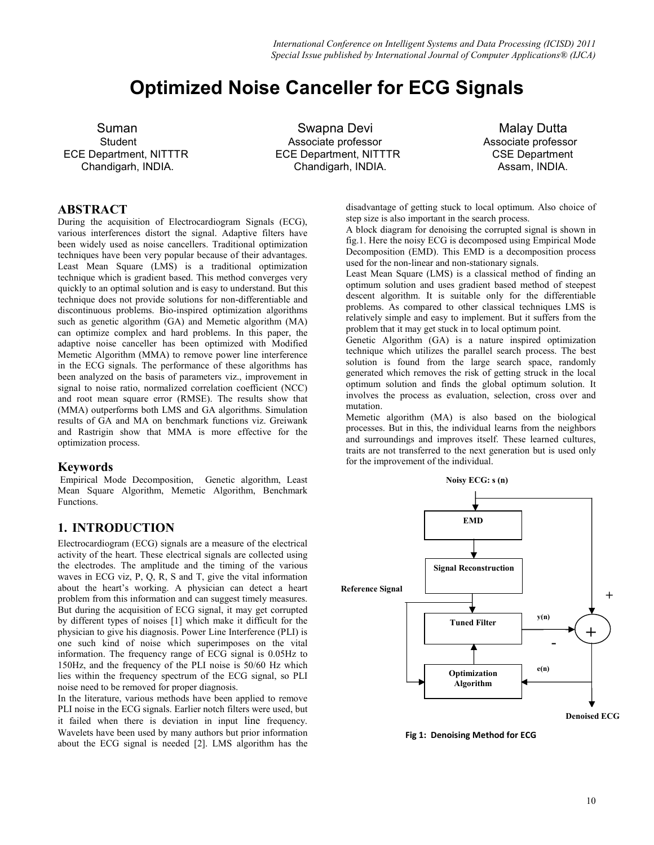# Optimized Noise Canceller for ECG Signals

ECE Department, NITTTR ECE Department, NITTTR CSE Department

Suman **Swapna Devi** Malay Dutta Student Associate professor Associate professor Chandigarh, INDIA. Chandigarh, INDIA. Assam, INDIA.

### ABSTRACT

During the acquisition of Electrocardiogram Signals (ECG), various interferences distort the signal. Adaptive filters have been widely used as noise cancellers. Traditional optimization techniques have been very popular because of their advantages. Least Mean Square (LMS) is a traditional optimization technique which is gradient based. This method converges very quickly to an optimal solution and is easy to understand. But this technique does not provide solutions for non-differentiable and discontinuous problems. Bio-inspired optimization algorithms such as genetic algorithm (GA) and Memetic algorithm (MA) can optimize complex and hard problems. In this paper, the adaptive noise canceller has been optimized with Modified Memetic Algorithm (MMA) to remove power line interference in the ECG signals. The performance of these algorithms has been analyzed on the basis of parameters viz., improvement in signal to noise ratio, normalized correlation coefficient (NCC) and root mean square error (RMSE). The results show that (MMA) outperforms both LMS and GA algorithms. Simulation results of GA and MA on benchmark functions viz. Greiwank and Rastrigin show that MMA is more effective for the optimization process.

### Keywords

Empirical Mode Decomposition, Genetic algorithm, Least Mean Square Algorithm, Memetic Algorithm, Benchmark Functions.

### 1. INTRODUCTION

Electrocardiogram (ECG) signals are a measure of the electrical activity of the heart. These electrical signals are collected using the electrodes. The amplitude and the timing of the various waves in ECG viz, P, Q, R, S and T, give the vital information about the heart's working. A physician can detect a heart problem from this information and can suggest timely measures. But during the acquisition of ECG signal, it may get corrupted by different types of noises [1] which make it difficult for the physician to give his diagnosis. Power Line Interference (PLI) is one such kind of noise which superimposes on the vital information. The frequency range of ECG signal is 0.05Hz to 150Hz, and the frequency of the PLI noise is 50/60 Hz which lies within the frequency spectrum of the ECG signal, so PLI noise need to be removed for proper diagnosis.

In the literature, various methods have been applied to remove PLI noise in the ECG signals. Earlier notch filters were used, but it failed when there is deviation in input line frequency. Wavelets have been used by many authors but prior information about the ECG signal is needed [2]. LMS algorithm has the disadvantage of getting stuck to local optimum. Also choice of step size is also important in the search process.

A block diagram for denoising the corrupted signal is shown in fig.1. Here the noisy ECG is decomposed using Empirical Mode Decomposition (EMD). This EMD is a decomposition process used for the non-linear and non-stationary signals.

Least Mean Square (LMS) is a classical method of finding an optimum solution and uses gradient based method of steepest descent algorithm. It is suitable only for the differentiable problems. As compared to other classical techniques LMS is relatively simple and easy to implement. But it suffers from the problem that it may get stuck in to local optimum point.

Genetic Algorithm (GA) is a nature inspired optimization technique which utilizes the parallel search process. The best solution is found from the large search space, randomly generated which removes the risk of getting struck in the local optimum solution and finds the global optimum solution. It involves the process as evaluation, selection, cross over and mutation.

Memetic algorithm (MA) is also based on the biological processes. But in this, the individual learns from the neighbors and surroundings and improves itself. These learned cultures, traits are not transferred to the next generation but is used only for the improvement of the individual.



Fig 1: Denoising Method for ECG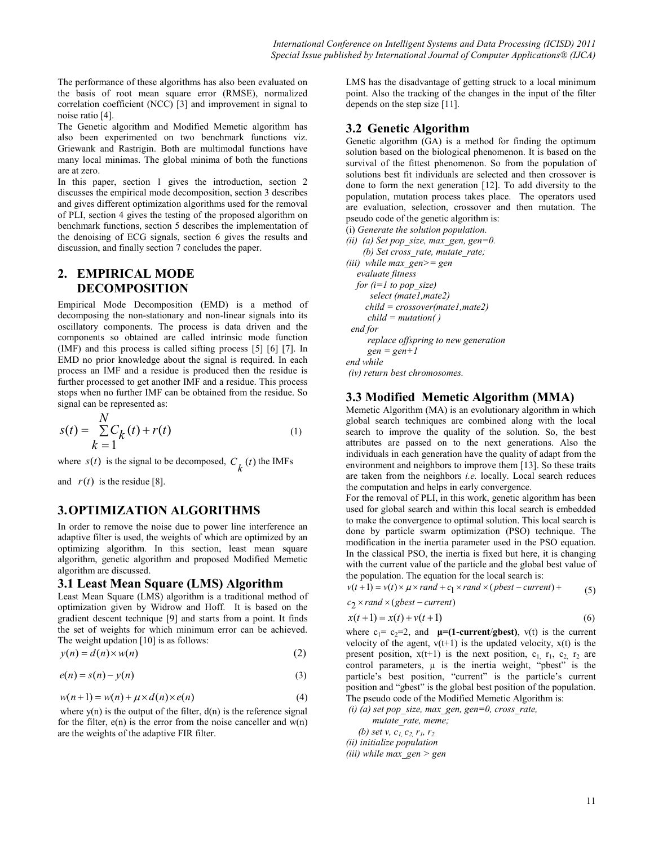The performance of these algorithms has also been evaluated on the basis of root mean square error (RMSE), normalized correlation coefficient (NCC) [3] and improvement in signal to noise ratio [4].

The Genetic algorithm and Modified Memetic algorithm has also been experimented on two benchmark functions viz. Griewank and Rastrigin. Both are multimodal functions have many local minimas. The global minima of both the functions are at zero.

In this paper, section 1 gives the introduction, section 2 discusses the empirical mode decomposition, section 3 describes and gives different optimization algorithms used for the removal of PLI, section 4 gives the testing of the proposed algorithm on benchmark functions, section 5 describes the implementation of the denoising of ECG signals, section 6 gives the results and discussion, and finally section 7 concludes the paper.

# 2. EMPIRICAL MODE DECOMPOSITION

Empirical Mode Decomposition (EMD) is a method of decomposing the non-stationary and non-linear signals into its oscillatory components. The process is data driven and the components so obtained are called intrinsic mode function (IMF) and this process is called sifting process [5] [6] [7]. In EMD no prior knowledge about the signal is required. In each process an IMF and a residue is produced then the residue is further processed to get another IMF and a residue. This process stops when no further IMF can be obtained from the residue. So signal can be represented as:

$$
s(t) = \sum_{k=1}^{N} C_k(t) + r(t)
$$
 (1)

where  $s(t)$  is the signal to be decomposed,  $C_k(t)$  the IMFs

and  $r(t)$  is the residue [8].

 $\lambda$  T

# 3.OPTIMIZATION ALGORITHMS

In order to remove the noise due to power line interference an adaptive filter is used, the weights of which are optimized by an optimizing algorithm. In this section, least mean square algorithm, genetic algorithm and proposed Modified Memetic algorithm are discussed.

### 3.1 Least Mean Square (LMS) Algorithm

Least Mean Square (LMS) algorithm is a traditional method of optimization given by Widrow and Hoff. It is based on the gradient descent technique [9] and starts from a point. It finds the set of weights for which minimum error can be achieved. The weight updation [10] is as follows:

$$
y(n) = d(n) \times w(n) \tag{2}
$$

$$
e(n) = s(n) - y(n) \tag{3}
$$

 $w(n+1) = w(n) + \mu \times d(n) \times e(n)$  (4)

where  $y(n)$  is the output of the filter,  $d(n)$  is the reference signal for the filter,  $e(n)$  is the error from the noise canceller and  $w(n)$ are the weights of the adaptive FIR filter.

LMS has the disadvantage of getting struck to a local minimum point. Also the tracking of the changes in the input of the filter depends on the step size [11].

### 3.2 Genetic Algorithm

Genetic algorithm (GA) is a method for finding the optimum solution based on the biological phenomenon. It is based on the survival of the fittest phenomenon. So from the population of solutions best fit individuals are selected and then crossover is done to form the next generation [12]. To add diversity to the population, mutation process takes place. The operators used are evaluation, selection, crossover and then mutation. The pseudo code of the genetic algorithm is:

(i) Generate the solution population. (ii) (a) Set pop\_size, max\_gen, gen=0. (b) Set cross\_rate, mutate\_rate; (iii) while max  $gen = gen$  evaluate fitness for  $(i=1$  to pop\_size) select (mate1,mate2)  $child = crossover(mate1, mate2)$  $child = mutation()$  end for replace offspring to new generation  $gen = gen + 1$ end while (iv) return best chromosomes.

## 3.3 Modified Memetic Algorithm (MMA)

Memetic Algorithm (MA) is an evolutionary algorithm in which global search techniques are combined along with the local search to improve the quality of the solution. So, the best attributes are passed on to the next generations. Also the individuals in each generation have the quality of adapt from the environment and neighbors to improve them [13]. So these traits are taken from the neighbors i.e. locally. Local search reduces the computation and helps in early convergence.

For the removal of PLI, in this work, genetic algorithm has been used for global search and within this local search is embedded to make the convergence to optimal solution. This local search is done by particle swarm optimization (PSO) technique. The modification in the inertia parameter used in the PSO equation. In the classical PSO, the inertia is fixed but here, it is changing with the current value of the particle and the global best value of the population. The equation for the local search is:

```
v(t+1) = v(t) \times \mu \times rand + c_1 \times rand \times (pbest-current) + (5)
```

$$
c_2 \times rand \times (gbest-current)
$$

$$
x(t+1) = x(t) + v(t+1)
$$
 (6)

where  $c_1 = c_2=2$ , and  $\mu=(1$ -current/gbest),  $v(t)$  is the current velocity of the agent,  $v(t+1)$  is the updated velocity,  $x(t)$  is the present position,  $x(t+1)$  is the next position,  $c_1$ ,  $r_1$ ,  $c_2$ ,  $r_2$  are control parameters,  $\mu$  is the inertia weight, "pbest" is the particle's best position, "current" is the particle's current position and "gbest" is the global best position of the population. The pseudo code of the Modified Memetic Algorithm is:

(i) (a) set pop\_size, max\_gen, gen=0, cross\_rate,

mutate rate, meme; (b) set v,  $c_1$ ,  $c_2$ ,  $r_1$ ,  $r_2$ (ii) initialize population (iii) while max  $gen > gen$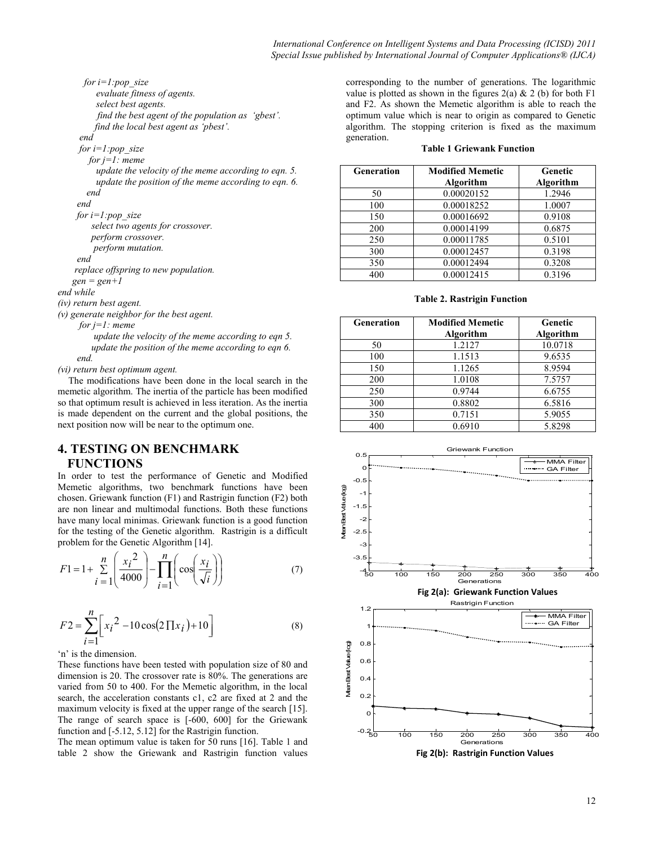for  $i=1$ :pop\_size evaluate fitness of agents. select best agents. find the best agent of the population as 'gbest'. find the local best agent as 'pbest'.

#### end

for  $i=1$ :pop\_size

for  $j=1$ : meme

 update the velocity of the meme according to eqn. 5. update the position of the meme according to eqn. 6. end

end

```
for i=1:pop_size
    select two agents for crossover. 
    perform crossover. 
    perform mutation. 
end
```
replace offspring to new population.

 $gen = gen + 1$ 

end while

(iv) return best agent.

(v) generate neighbor for the best agent.

for  $j=1$ : meme

 update the velocity of the meme according to eqn 5. update the position of the meme according to eqn 6. end.

(vi) return best optimum agent.

The modifications have been done in the local search in the memetic algorithm. The inertia of the particle has been modified so that optimum result is achieved in less iteration. As the inertia is made dependent on the current and the global positions, the next position now will be near to the optimum one.

# 4. TESTING ON BENCHMARK **FUNCTIONS**

In order to test the performance of Genetic and Modified Memetic algorithms, two benchmark functions have been chosen. Griewank function (F1) and Rastrigin function (F2) both are non linear and multimodal functions. Both these functions have many local minimas. Griewank function is a good function for the testing of the Genetic algorithm. Rastrigin is a difficult problem for the Genetic Algorithm [14].

$$
F1 = 1 + \sum_{i=1}^{n} \left( \frac{x_i^2}{4000} \right) - \prod_{i=1}^{n} \left( \cos \left( \frac{x_i}{\sqrt{i}} \right) \right)
$$
(7)

$$
F2 = \sum_{i=1}^{n} \left[ x_i^2 - 10 \cos(2 \prod x_i) + 10 \right]
$$
 (8)

'n' is the dimension.

These functions have been tested with population size of 80 and dimension is 20. The crossover rate is 80%. The generations are varied from 50 to 400. For the Memetic algorithm, in the local search, the acceleration constants c1, c2 are fixed at 2 and the maximum velocity is fixed at the upper range of the search [15]. The range of search space is [-600, 600] for the Griewank function and [-5.12, 5.12] for the Rastrigin function.

The mean optimum value is taken for 50 runs [16]. Table 1 and table 2 show the Griewank and Rastrigin function values corresponding to the number of generations. The logarithmic value is plotted as shown in the figures  $2(a) \& 2(b)$  for both F1 and F2. As shown the Memetic algorithm is able to reach the optimum value which is near to origin as compared to Genetic algorithm. The stopping criterion is fixed as the maximum generation.

#### Table 1 Griewank Function

| Generation | <b>Modified Memetic</b><br>Algorithm | Genetic<br>Algorithm |
|------------|--------------------------------------|----------------------|
| 50         | 0.00020152                           | 1.2946               |
| 100        | 0.00018252                           | 1.0007               |
| 150        | 0.00016692                           | 0.9108               |
| 200        | 0.00014199                           | 0.6875               |
| 250        | 0.00011785                           | 0.5101               |
| 300        | 0.00012457                           | 0.3198               |
| 350        | 0.00012494                           | 0.3208               |
| 400        | 0.00012415                           | 0.3196               |

### Table 2. Rastrigin Function

| Generation | <b>Modified Memetic</b> | Genetic   |
|------------|-------------------------|-----------|
|            | Algorithm               | Algorithm |
| 50         | 1.2127                  | 10.0718   |
| 100        | 1.1513                  | 9.6535    |
| 150        | 1.1265                  | 8.9594    |
| 200        | 1.0108                  | 7.5757    |
| 250        | 0.9744                  | 6.6755    |
| 300        | 0.8802                  | 6.5816    |
| 350        | 0.7151                  | 5.9055    |
| 400        | 0.6910                  | 5.8298    |



Fig 2(b): Rastrigin Function Values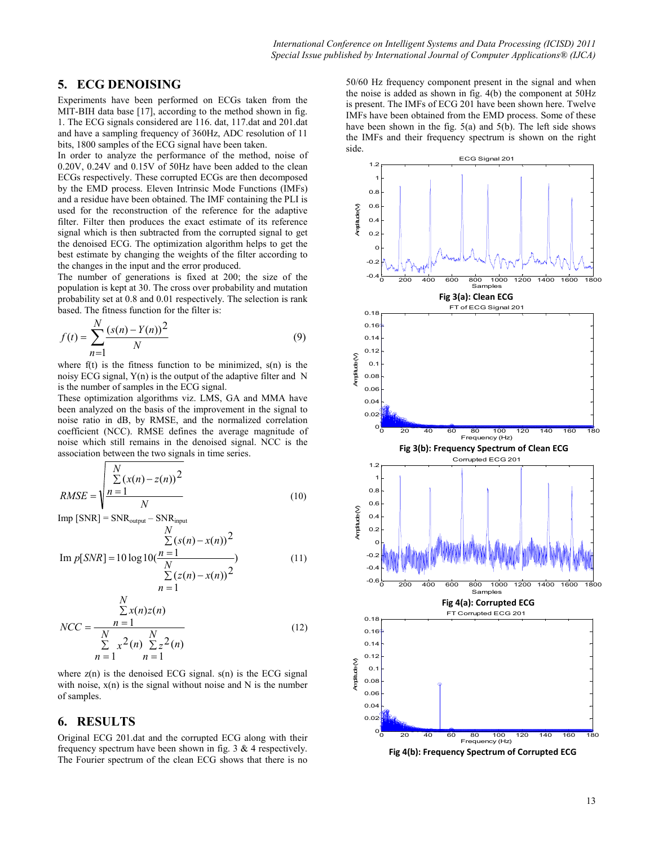### 5. ECG DENOISING

Experiments have been performed on ECGs taken from the MIT-BIH data base [17], according to the method shown in fig. 1. The ECG signals considered are 116. dat, 117.dat and 201.dat and have a sampling frequency of 360Hz, ADC resolution of 11 bits, 1800 samples of the ECG signal have been taken.

In order to analyze the performance of the method, noise of 0.20V, 0.24V and 0.15V of 50Hz have been added to the clean ECGs respectively. These corrupted ECGs are then decomposed by the EMD process. Eleven Intrinsic Mode Functions (IMFs) and a residue have been obtained. The IMF containing the PLI is used for the reconstruction of the reference for the adaptive filter. Filter then produces the exact estimate of its reference signal which is then subtracted from the corrupted signal to get the denoised ECG. The optimization algorithm helps to get the best estimate by changing the weights of the filter according to the changes in the input and the error produced.

The number of generations is fixed at 200; the size of the population is kept at 30. The cross over probability and mutation probability set at 0.8 and 0.01 respectively. The selection is rank based. The fitness function for the filter is:

$$
f(t) = \sum_{n=1}^{N} \frac{(s(n) - Y(n))^2}{N}
$$
(9)

where  $f(t)$  is the fitness function to be minimized,  $s(n)$  is the noisy ECG signal, Y(n) is the output of the adaptive filter and N is the number of samples in the ECG signal.

These optimization algorithms viz. LMS, GA and MMA have been analyzed on the basis of the improvement in the signal to noise ratio in dB, by RMSE, and the normalized correlation coefficient (NCC). RMSE defines the average magnitude of noise which still remains in the denoised signal. NCC is the association between the two signals in time series.

$$
RMSE = \sqrt{\frac{\sum_{n=1}^{N} (x(n) - z(n))^2}{N}}
$$
(10)

 $Imp [SNR] = SNR_{output} - SNR_{input}$ 

$$
\frac{\sum_{\sum(s(n)-x(n))}^{N} (s(n)-x(n))^2}{10 \log 10(\frac{n-1}{N})}
$$

Im 
$$
p[SNR] = 10 \log 10(\frac{n}{N} - \frac{N}{N})
$$
  

$$
\sum_{n=1}^{N} (z(n) - x(n))^2
$$
(11)

$$
NCC = \frac{\sum_{n=1}^{N} x(n)z(n)}{\sum_{n=1}^{N} x^{2}(n) \sum_{n=1}^{N} z^{2}(n)}
$$
(12)

where  $z(n)$  is the denoised ECG signal.  $s(n)$  is the ECG signal with noise,  $x(n)$  is the signal without noise and N is the number of samples.

## 6. RESULTS

Original ECG 201.dat and the corrupted ECG along with their frequency spectrum have been shown in fig. 3 & 4 respectively. The Fourier spectrum of the clean ECG shows that there is no

50/60 Hz frequency component present in the signal and when the noise is added as shown in fig. 4(b) the component at 50Hz is present. The IMFs of ECG 201 have been shown here. Twelve IMFs have been obtained from the EMD process. Some of these have been shown in the fig. 5(a) and 5(b). The left side shows the IMFs and their frequency spectrum is shown on the right side.



Fig 4(b): Frequency Spectrum of Corrupted ECG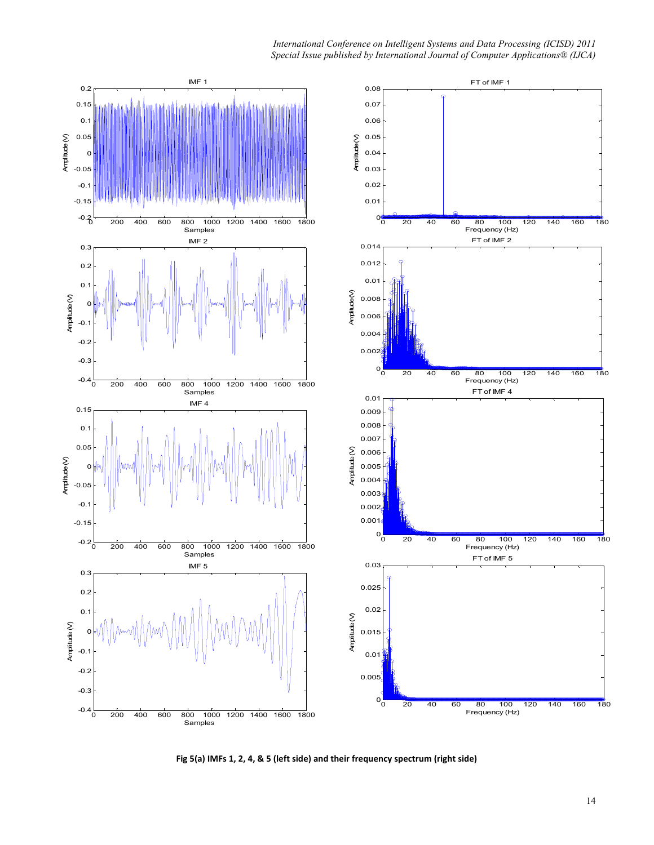

Fig 5(a) IMFs 1, 2, 4, & 5 (left side) and their frequency spectrum (right side)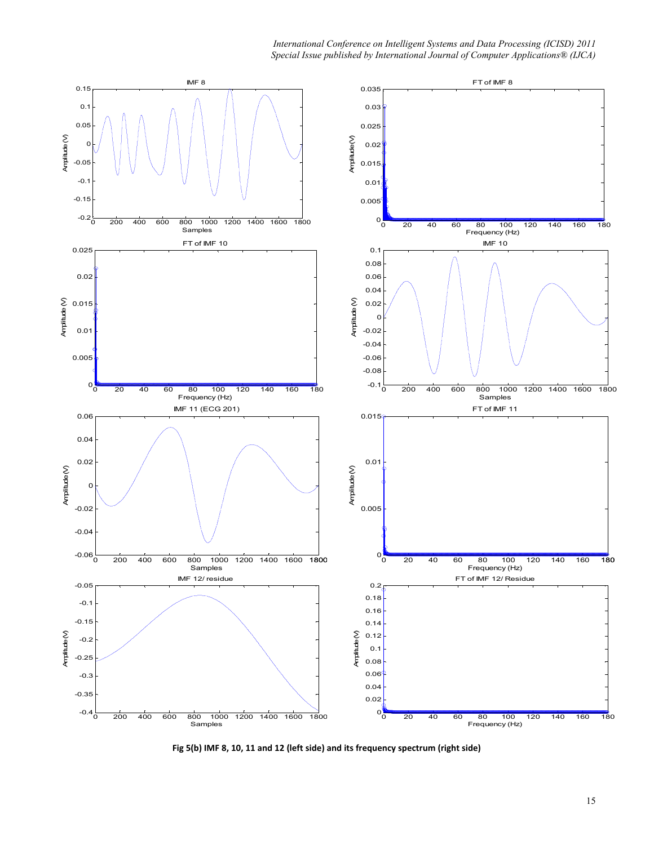

Fig 5(b) IMF 8, 10, 11 and 12 (left side) and its frequency spectrum (right side)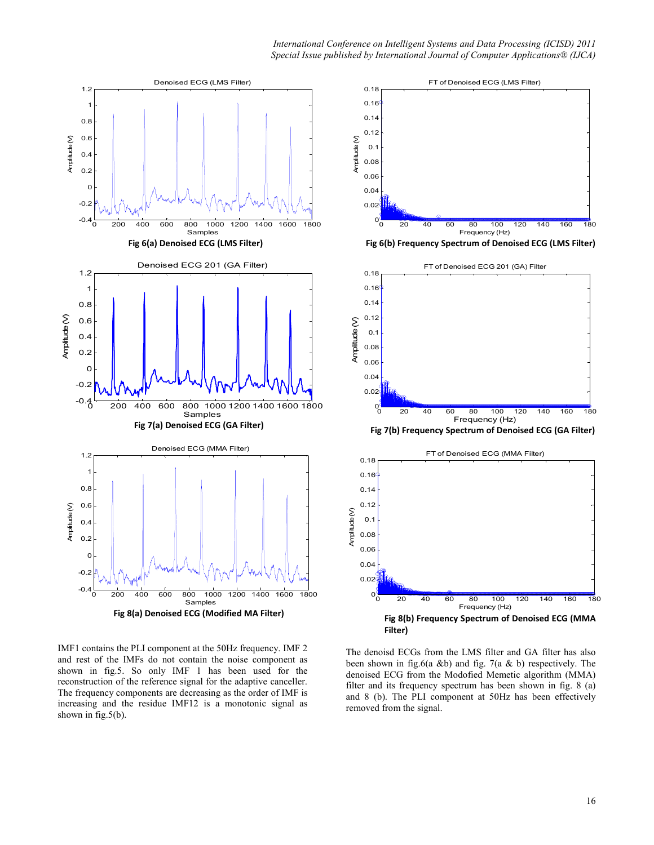

IMF1 contains the PLI component at the 50Hz frequency. IMF 2 and rest of the IMFs do not contain the noise component as shown in fig.5. So only IMF 1 has been used for the reconstruction of the reference signal for the adaptive canceller. The frequency components are decreasing as the order of IMF is increasing and the residue IMF12 is a monotonic signal as shown in fig.5(b).



Fig 6(b) Frequency Spectrum of Denoised ECG (LMS Filter)



The denoisd ECGs from the LMS filter and GA filter has also been shown in fig.6(a &b) and fig. 7(a & b) respectively. The denoised ECG from the Modofied Memetic algorithm (MMA) filter and its frequency spectrum has been shown in fig. 8 (a) and 8 (b). The PLI component at 50Hz has been effectively removed from the signal.